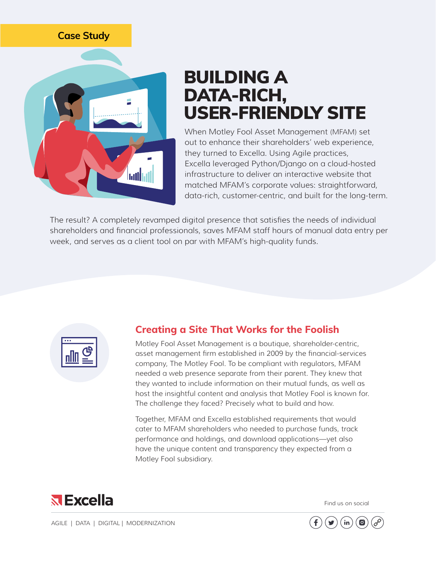## **Case Study**



## BUILDING A DATA-RICH, USER-FRIENDLY SITE

When Motley Fool Asset Management (MFAM) set out to enhance their shareholders' web experience, they turned to Excella. Using Agile practices, Excella leveraged Python/Django on a cloud-hosted infrastructure to deliver an interactive website that matched MFAM's corporate values: straightforward, data-rich, customer-centric, and built for the long-term.

The result? A completely revamped digital presence that satisfies the needs of individual shareholders and financial professionals, saves MFAM staff hours of manual data entry per week, and serves as a client tool on par with MFAM's high-quality funds.



## **Creating a Site That Works for the Foolish**

Motley Fool Asset Management is a boutique, shareholder-centric, asset management firm established in 2009 by the financial-services company, The Motley Fool. To be compliant with regulators, MFAM needed a web presence separate from their parent. They knew that they wanted to include information on their mutual funds, as well as host the insightful content and analysis that Motley Fool is known for. The challenge they faced? Precisely what to build and how.

Together, MFAM and Excella established requirements that would cater to MFAM shareholders who needed to purchase funds, track performance and holdings, and download applications—yet also have the unique content and transparency they expected from a Motley Fool subsidiary.



Find us on social